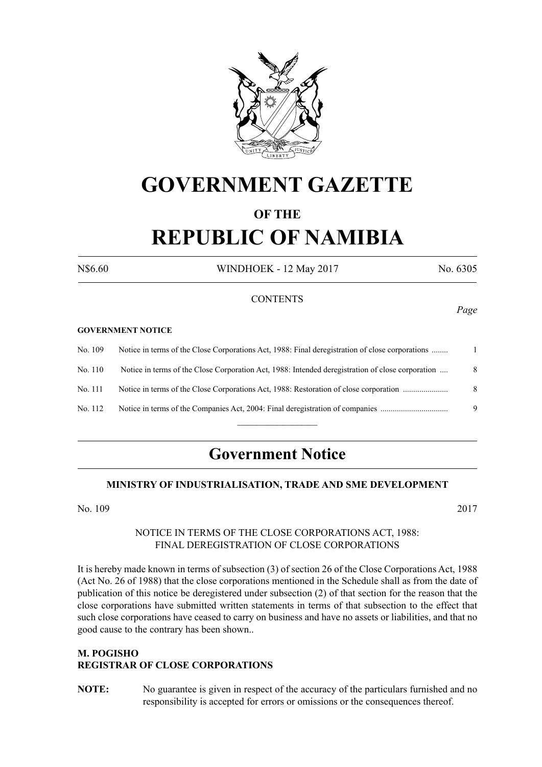

# **GOVERNMENT GAZETTE**

# **OF THE REPUBLIC OF NAMIBIA**

N\$6.60 WINDHOEK - 12 May 2017 No. 6305

#### **CONTENTS**

#### **GOVERNMENT NOTICE**

| No. 109 | Notice in terms of the Close Corporations Act, 1988: Final deregistration of close corporations  |   |
|---------|--------------------------------------------------------------------------------------------------|---|
| No. 110 | Notice in terms of the Close Corporation Act, 1988: Intended deregistration of close corporation | 8 |
| No. 111 | Notice in terms of the Close Corporations Act, 1988: Restoration of close corporation            | 8 |
| No. 112 | Notice in terms of the Companies Act, 2004: Final deregistration of companies                    | 9 |
|         |                                                                                                  |   |

# **Government Notice**

### **MINISTRY OF INDUSTRIALISATION, TRADE AND SME DEVELOPMENT**

No. 109 2017

#### NOTICE IN TERMS OF THE CLOSE CORPORATIONS ACT, 1988: FINAL DEREGISTRATION OF CLOSE CORPORATIONS

It is hereby made known in terms of subsection (3) of section 26 of the Close Corporations Act, 1988 (Act No. 26 of 1988) that the close corporations mentioned in the Schedule shall as from the date of publication of this notice be deregistered under subsection (2) of that section for the reason that the close corporations have submitted written statements in terms of that subsection to the effect that such close corporations have ceased to carry on business and have no assets or liabilities, and that no good cause to the contrary has been shown..

# **M. POGISHO REGISTRAR OF CLOSE CORPORATIONS**

**NOTE:** No guarantee is given in respect of the accuracy of the particulars furnished and no responsibility is accepted for errors or omissions or the consequences thereof.

*Page*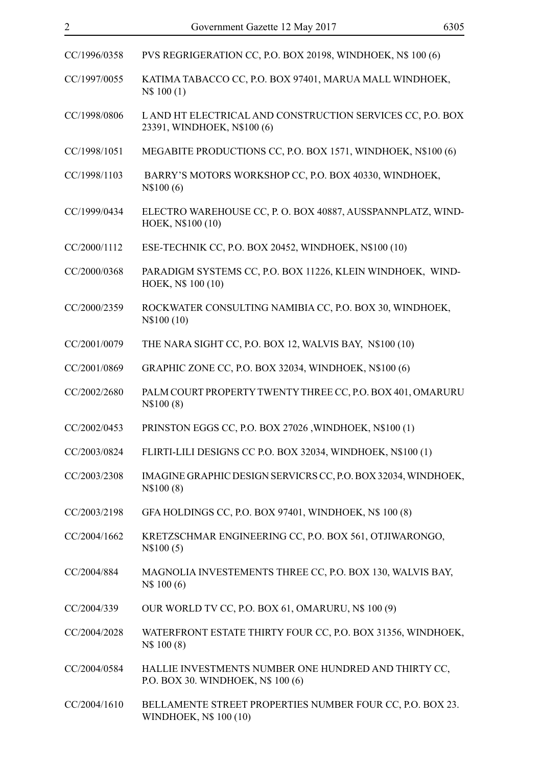| CC/1996/0358 | PVS REGRIGERATION CC, P.O. BOX 20198, WINDHOEK, N\$ 100 (6)                                |
|--------------|--------------------------------------------------------------------------------------------|
| CC/1997/0055 | KATIMA TABACCO CC, P.O. BOX 97401, MARUA MALL WINDHOEK,<br>N\$ 100 (1)                     |
| CC/1998/0806 | LAND HT ELECTRICAL AND CONSTRUCTION SERVICES CC, P.O. BOX<br>23391, WINDHOEK, N\$100 (6)   |
| CC/1998/1051 | MEGABITE PRODUCTIONS CC, P.O. BOX 1571, WINDHOEK, N\$100 (6)                               |
| CC/1998/1103 | BARRY'S MOTORS WORKSHOP CC, P.O. BOX 40330, WINDHOEK,<br>N\\$100(6)                        |
| CC/1999/0434 | ELECTRO WAREHOUSE CC, P. O. BOX 40887, AUSSPANNPLATZ, WIND-<br>HOEK, N\$100 (10)           |
| CC/2000/1112 | ESE-TECHNIK CC, P.O. BOX 20452, WINDHOEK, N\$100 (10)                                      |
| CC/2000/0368 | PARADIGM SYSTEMS CC, P.O. BOX 11226, KLEIN WINDHOEK, WIND-<br>HOEK, N\$ 100 (10)           |
| CC/2000/2359 | ROCKWATER CONSULTING NAMIBIA CC, P.O. BOX 30, WINDHOEK,<br>N\\$100 (10)                    |
| CC/2001/0079 | THE NARA SIGHT CC, P.O. BOX 12, WALVIS BAY, N\$100 (10)                                    |
| CC/2001/0869 | GRAPHIC ZONE CC, P.O. BOX 32034, WINDHOEK, N\$100 (6)                                      |
| CC/2002/2680 | PALM COURT PROPERTY TWENTY THREE CC, P.O. BOX 401, OMARURU<br>N\$100(8)                    |
| CC/2002/0453 | PRINSTON EGGS CC, P.O. BOX 27026, WINDHOEK, N\$100 (1)                                     |
| CC/2003/0824 | FLIRTI-LILI DESIGNS CC P.O. BOX 32034, WINDHOEK, N\$100 (1)                                |
| CC/2003/2308 | IMAGINE GRAPHIC DESIGN SERVICRS CC, P.O. BOX 32034, WINDHOEK,<br>N\\$100 (8)               |
| CC/2003/2198 | GFA HOLDINGS CC, P.O. BOX 97401, WINDHOEK, N\$ 100 (8)                                     |
| CC/2004/1662 | KRETZSCHMAR ENGINEERING CC, P.O. BOX 561, OTJIWARONGO,<br>N\$100(5)                        |
| CC/2004/884  | MAGNOLIA INVESTEMENTS THREE CC, P.O. BOX 130, WALVIS BAY,<br>N\$ 100 (6)                   |
| CC/2004/339  | OUR WORLD TV CC, P.O. BOX 61, OMARURU, N\$ 100 (9)                                         |
| CC/2004/2028 | WATERFRONT ESTATE THIRTY FOUR CC, P.O. BOX 31356, WINDHOEK,<br>N\$ 100 (8)                 |
| CC/2004/0584 | HALLIE INVESTMENTS NUMBER ONE HUNDRED AND THIRTY CC,<br>P.O. BOX 30. WINDHOEK, N\$ 100 (6) |
| CC/2004/1610 | BELLAMENTE STREET PROPERTIES NUMBER FOUR CC, P.O. BOX 23.                                  |

WINDHOEK, N\$ 100 (10)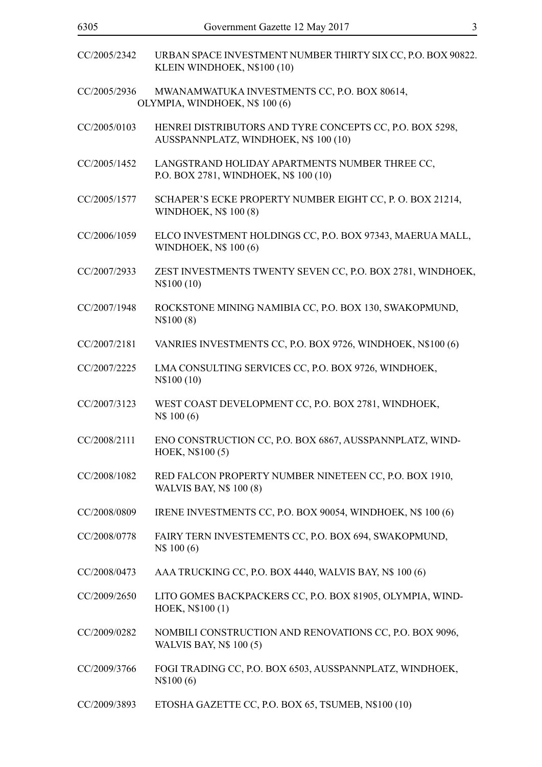| CC/2005/2342 | URBAN SPACE INVESTMENT NUMBER THIRTY SIX CC, P.O. BOX 90822.<br>KLEIN WINDHOEK, N\$100 (10)       |
|--------------|---------------------------------------------------------------------------------------------------|
| CC/2005/2936 | MWANAMWATUKA INVESTMENTS CC, P.O. BOX 80614,<br>OLYMPIA, WINDHOEK, N\$ 100 (6)                    |
| CC/2005/0103 | HENREI DISTRIBUTORS AND TYRE CONCEPTS CC, P.O. BOX 5298,<br>AUSSPANNPLATZ, WINDHOEK, N\$ 100 (10) |
| CC/2005/1452 | LANGSTRAND HOLIDAY APARTMENTS NUMBER THREE CC,<br>P.O. BOX 2781, WINDHOEK, N\$ 100 (10)           |
| CC/2005/1577 | SCHAPER'S ECKE PROPERTY NUMBER EIGHT CC, P. O. BOX 21214,<br><b>WINDHOEK, N\$ 100 (8)</b>         |
| CC/2006/1059 | ELCO INVESTMENT HOLDINGS CC, P.O. BOX 97343, MAERUA MALL,<br>WINDHOEK, N\$ 100 (6)                |
| CC/2007/2933 | ZEST INVESTMENTS TWENTY SEVEN CC, P.O. BOX 2781, WINDHOEK,<br>N\\$100 (10)                        |
| CC/2007/1948 | ROCKSTONE MINING NAMIBIA CC, P.O. BOX 130, SWAKOPMUND,<br>N\\$100(8)                              |
| CC/2007/2181 | VANRIES INVESTMENTS CC, P.O. BOX 9726, WINDHOEK, N\$100 (6)                                       |
| CC/2007/2225 | LMA CONSULTING SERVICES CC, P.O. BOX 9726, WINDHOEK,<br>N\$100 (10)                               |
| CC/2007/3123 | WEST COAST DEVELOPMENT CC, P.O. BOX 2781, WINDHOEK,<br>N\$ 100 (6)                                |
| CC/2008/2111 | ENO CONSTRUCTION CC, P.O. BOX 6867, AUSSPANNPLATZ, WIND-<br>HOEK, N\$100(5)                       |
| CC/2008/1082 | RED FALCON PROPERTY NUMBER NINETEEN CC, P.O. BOX 1910,<br><b>WALVIS BAY, N\$ 100 (8)</b>          |
| CC/2008/0809 | IRENE INVESTMENTS CC, P.O. BOX 90054, WINDHOEK, N\$ 100 (6)                                       |
| CC/2008/0778 | FAIRY TERN INVESTEMENTS CC, P.O. BOX 694, SWAKOPMUND,<br>N\$ 100 (6)                              |
| CC/2008/0473 | AAA TRUCKING CC, P.O. BOX 4440, WALVIS BAY, N\$ 100 (6)                                           |
| CC/2009/2650 | LITO GOMES BACKPACKERS CC, P.O. BOX 81905, OLYMPIA, WIND-<br>HOEK, N\$100 (1)                     |
| CC/2009/0282 | NOMBILI CONSTRUCTION AND RENOVATIONS CC, P.O. BOX 9096,<br><b>WALVIS BAY, N\$ 100 (5)</b>         |
| CC/2009/3766 | FOGI TRADING CC, P.O. BOX 6503, AUSSPANNPLATZ, WINDHOEK,<br>N\$100(6)                             |
| CC/2009/3893 | ETOSHA GAZETTE CC, P.O. BOX 65, TSUMEB, N\$100 (10)                                               |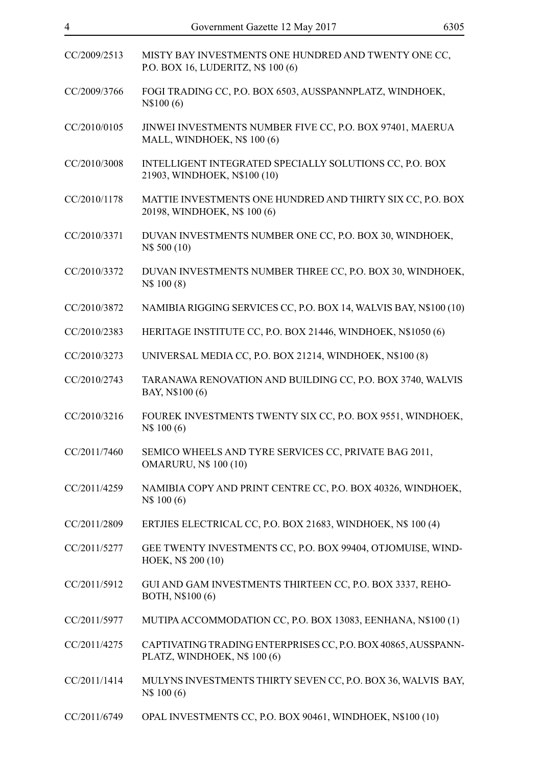| CC/2009/2513 | MISTY BAY INVESTMENTS ONE HUNDRED AND TWENTY ONE CC,<br>P.O. BOX 16, LUDERITZ, N\$ 100 (6)    |
|--------------|-----------------------------------------------------------------------------------------------|
| CC/2009/3766 | FOGI TRADING CC, P.O. BOX 6503, AUSSPANNPLATZ, WINDHOEK,<br>N\$100(6)                         |
| CC/2010/0105 | JINWEI INVESTMENTS NUMBER FIVE CC, P.O. BOX 97401, MAERUA<br>MALL, WINDHOEK, N\$ 100 (6)      |
| CC/2010/3008 | INTELLIGENT INTEGRATED SPECIALLY SOLUTIONS CC, P.O. BOX<br>21903, WINDHOEK, N\$100 (10)       |
| CC/2010/1178 | MATTIE INVESTMENTS ONE HUNDRED AND THIRTY SIX CC, P.O. BOX<br>20198, WINDHOEK, N\$ 100 (6)    |
| CC/2010/3371 | DUVAN INVESTMENTS NUMBER ONE CC, P.O. BOX 30, WINDHOEK,<br>N\$ 500 (10)                       |
| CC/2010/3372 | DUVAN INVESTMENTS NUMBER THREE CC, P.O. BOX 30, WINDHOEK,<br>N\$ 100 (8)                      |
| CC/2010/3872 | NAMIBIA RIGGING SERVICES CC, P.O. BOX 14, WALVIS BAY, N\$100 (10)                             |
| CC/2010/2383 | HERITAGE INSTITUTE CC, P.O. BOX 21446, WINDHOEK, N\$1050 (6)                                  |
| CC/2010/3273 | UNIVERSAL MEDIA CC, P.O. BOX 21214, WINDHOEK, N\$100 (8)                                      |
| CC/2010/2743 | TARANAWA RENOVATION AND BUILDING CC, P.O. BOX 3740, WALVIS<br>BAY, N\$100 (6)                 |
| CC/2010/3216 | FOUREK INVESTMENTS TWENTY SIX CC, P.O. BOX 9551, WINDHOEK,<br>N\$ 100 (6)                     |
| CC/2011/7460 | SEMICO WHEELS AND TYRE SERVICES CC, PRIVATE BAG 2011,<br><b>OMARURU, N\$ 100 (10)</b>         |
| CC/2011/4259 | NAMIBIA COPY AND PRINT CENTRE CC, P.O. BOX 40326, WINDHOEK,<br>N\$ 100 (6)                    |
| CC/2011/2809 | ERTJIES ELECTRICAL CC, P.O. BOX 21683, WINDHOEK, N\$ 100 (4)                                  |
| CC/2011/5277 | GEE TWENTY INVESTMENTS CC, P.O. BOX 99404, OTJOMUISE, WIND-<br>HOEK, N\$ 200 (10)             |
| CC/2011/5912 | GUI AND GAM INVESTMENTS THIRTEEN CC, P.O. BOX 3337, REHO-<br>BOTH, N\$100 (6)                 |
| CC/2011/5977 | MUTIPA ACCOMMODATION CC, P.O. BOX 13083, EENHANA, N\$100 (1)                                  |
| CC/2011/4275 | CAPTIVATING TRADING ENTERPRISES CC, P.O. BOX 40865, AUSSPANN-<br>PLATZ, WINDHOEK, N\$ 100 (6) |
| CC/2011/1414 | MULYNS INVESTMENTS THIRTY SEVEN CC, P.O. BOX 36, WALVIS BAY,<br>N\$ 100 (6)                   |
| CC/2011/6749 | OPAL INVESTMENTS CC, P.O. BOX 90461, WINDHOEK, N\$100 (10)                                    |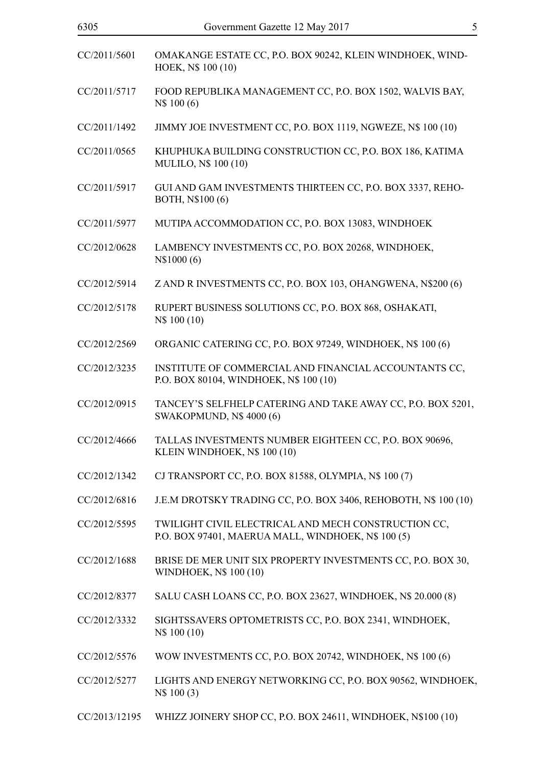| CC/2011/5601  | OMAKANGE ESTATE CC, P.O. BOX 90242, KLEIN WINDHOEK, WIND-<br>HOEK, N\$ 100 (10)                           |
|---------------|-----------------------------------------------------------------------------------------------------------|
| CC/2011/5717  | FOOD REPUBLIKA MANAGEMENT CC, P.O. BOX 1502, WALVIS BAY,<br>N\$ 100 (6)                                   |
| CC/2011/1492  | JIMMY JOE INVESTMENT CC, P.O. BOX 1119, NGWEZE, N\$ 100 (10)                                              |
| CC/2011/0565  | KHUPHUKA BUILDING CONSTRUCTION CC, P.O. BOX 186, KATIMA<br>MULILO, N\$ 100 (10)                           |
| CC/2011/5917  | GUI AND GAM INVESTMENTS THIRTEEN CC, P.O. BOX 3337, REHO-<br>BOTH, N\$100 (6)                             |
| CC/2011/5977  | MUTIPA ACCOMMODATION CC, P.O. BOX 13083, WINDHOEK                                                         |
| CC/2012/0628  | LAMBENCY INVESTMENTS CC, P.O. BOX 20268, WINDHOEK,<br>N\\$1000(6)                                         |
| CC/2012/5914  | Z AND R INVESTMENTS CC, P.O. BOX 103, OHANGWENA, N\$200 (6)                                               |
| CC/2012/5178  | RUPERT BUSINESS SOLUTIONS CC, P.O. BOX 868, OSHAKATI,<br>N\$ 100 (10)                                     |
| CC/2012/2569  | ORGANIC CATERING CC, P.O. BOX 97249, WINDHOEK, N\$ 100 (6)                                                |
| CC/2012/3235  | INSTITUTE OF COMMERCIAL AND FINANCIAL ACCOUNTANTS CC,<br>P.O. BOX 80104, WINDHOEK, N\$ 100 (10)           |
| CC/2012/0915  | TANCEY'S SELFHELP CATERING AND TAKE AWAY CC, P.O. BOX 5201,<br><b>SWAKOPMUND, N\$ 4000 (6)</b>            |
| CC/2012/4666  | TALLAS INVESTMENTS NUMBER EIGHTEEN CC, P.O. BOX 90696,<br>KLEIN WINDHOEK, N\$ 100 (10)                    |
| CC/2012/1342  | CJ TRANSPORT CC, P.O. BOX 81588, OLYMPIA, N\$ 100 (7)                                                     |
| CC/2012/6816  | J.E.M DROTSKY TRADING CC, P.O. BOX 3406, REHOBOTH, N\$ 100 (10)                                           |
| CC/2012/5595  | TWILIGHT CIVIL ELECTRICAL AND MECH CONSTRUCTION CC,<br>P.O. BOX 97401, MAERUA MALL, WINDHOEK, N\$ 100 (5) |
| CC/2012/1688  | BRISE DE MER UNIT SIX PROPERTY INVESTMENTS CC, P.O. BOX 30,<br>WINDHOEK, N\$ 100 (10)                     |
| CC/2012/8377  | SALU CASH LOANS CC, P.O. BOX 23627, WINDHOEK, N\$ 20.000 (8)                                              |
| CC/2012/3332  | SIGHTSSAVERS OPTOMETRISTS CC, P.O. BOX 2341, WINDHOEK,<br>N\$ 100 (10)                                    |
| CC/2012/5576  | WOW INVESTMENTS CC, P.O. BOX 20742, WINDHOEK, N\$ 100 (6)                                                 |
| CC/2012/5277  | LIGHTS AND ENERGY NETWORKING CC, P.O. BOX 90562, WINDHOEK,<br>N\\$ 100 (3)                                |
| CC/2013/12195 | WHIZZ JOINERY SHOP CC, P.O. BOX 24611, WINDHOEK, N\$100 (10)                                              |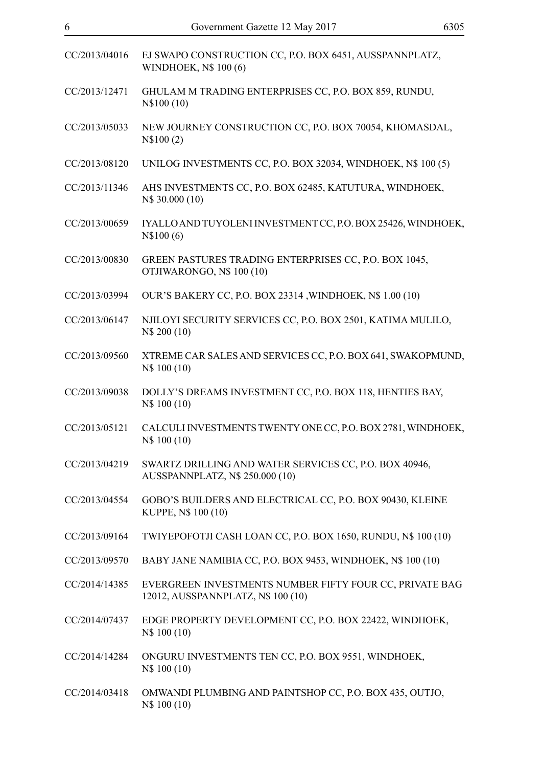| CC/2013/04016 | EJ SWAPO CONSTRUCTION CC, P.O. BOX 6451, AUSSPANNPLATZ,<br>WINDHOEK, N\$ 100 (6)              |
|---------------|-----------------------------------------------------------------------------------------------|
| CC/2013/12471 | GHULAM M TRADING ENTERPRISES CC, P.O. BOX 859, RUNDU,<br>N\\$100 (10)                         |
| CC/2013/05033 | NEW JOURNEY CONSTRUCTION CC, P.O. BOX 70054, KHOMASDAL,<br>N\$100(2)                          |
| CC/2013/08120 | UNILOG INVESTMENTS CC, P.O. BOX 32034, WINDHOEK, N\$ 100 (5)                                  |
| CC/2013/11346 | AHS INVESTMENTS CC, P.O. BOX 62485, KATUTURA, WINDHOEK,<br>N\$ 30.000 (10)                    |
| CC/2013/00659 | IYALLO AND TUYOLENI INVESTMENT CC, P.O. BOX 25426, WINDHOEK,<br>N\\$100(6)                    |
| CC/2013/00830 | GREEN PASTURES TRADING ENTERPRISES CC, P.O. BOX 1045,<br>OTJIWARONGO, N\$ 100 (10)            |
| CC/2013/03994 | OUR'S BAKERY CC, P.O. BOX 23314, WINDHOEK, N\$ 1.00 (10)                                      |
| CC/2013/06147 | NJILOYI SECURITY SERVICES CC, P.O. BOX 2501, KATIMA MULILO,<br>N\$ 200 (10)                   |
| CC/2013/09560 | XTREME CAR SALES AND SERVICES CC, P.O. BOX 641, SWAKOPMUND,<br>N\$ 100 (10)                   |
| CC/2013/09038 | DOLLY'S DREAMS INVESTMENT CC, P.O. BOX 118, HENTIES BAY,<br>N\$ 100 (10)                      |
| CC/2013/05121 | CALCULI INVESTMENTS TWENTY ONE CC, P.O. BOX 2781, WINDHOEK,<br>N\$ 100 (10)                   |
| CC/2013/04219 | SWARTZ DRILLING AND WATER SERVICES CC, P.O. BOX 40946,<br>AUSSPANNPLATZ, N\$ 250.000 (10)     |
| CC/2013/04554 | GOBO'S BUILDERS AND ELECTRICAL CC, P.O. BOX 90430, KLEINE<br>KUPPE, N\$ 100 (10)              |
| CC/2013/09164 | TWIYEPOFOTJI CASH LOAN CC, P.O. BOX 1650, RUNDU, N\$ 100 (10)                                 |
| CC/2013/09570 | BABY JANE NAMIBIA CC, P.O. BOX 9453, WINDHOEK, N\$ 100 (10)                                   |
| CC/2014/14385 | EVERGREEN INVESTMENTS NUMBER FIFTY FOUR CC, PRIVATE BAG<br>12012, AUSSPANNPLATZ, N\$ 100 (10) |
| CC/2014/07437 | EDGE PROPERTY DEVELOPMENT CC, P.O. BOX 22422, WINDHOEK,<br>N\$ 100 (10)                       |
| CC/2014/14284 | ONGURU INVESTMENTS TEN CC, P.O. BOX 9551, WINDHOEK,<br>N\$ 100 (10)                           |
| CC/2014/03418 | OMWANDI PLUMBING AND PAINTSHOP CC, P.O. BOX 435, OUTJO,<br>N\$ 100 (10)                       |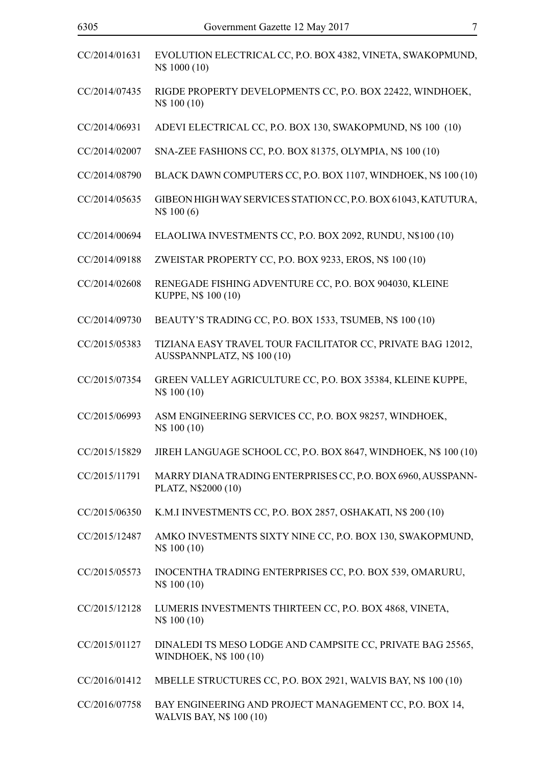| CC/2014/01631 | EVOLUTION ELECTRICAL CC, P.O. BOX 4382, VINETA, SWAKOPMUND,<br>N\$ 1000 (10)                |
|---------------|---------------------------------------------------------------------------------------------|
| CC/2014/07435 | RIGDE PROPERTY DEVELOPMENTS CC, P.O. BOX 22422, WINDHOEK,<br>N\$ 100 (10)                   |
| CC/2014/06931 | ADEVI ELECTRICAL CC, P.O. BOX 130, SWAKOPMUND, N\$ 100 (10)                                 |
| CC/2014/02007 | SNA-ZEE FASHIONS CC, P.O. BOX 81375, OLYMPIA, N\$ 100 (10)                                  |
| CC/2014/08790 | BLACK DAWN COMPUTERS CC, P.O. BOX 1107, WINDHOEK, N\$ 100 (10)                              |
| CC/2014/05635 | GIBEON HIGH WAY SERVICES STATION CC, P.O. BOX 61043, KATUTURA,<br>N\$ 100 (6)               |
| CC/2014/00694 | ELAOLIWA INVESTMENTS CC, P.O. BOX 2092, RUNDU, N\$100 (10)                                  |
| CC/2014/09188 | ZWEISTAR PROPERTY CC, P.O. BOX 9233, EROS, N\$ 100 (10)                                     |
| CC/2014/02608 | RENEGADE FISHING ADVENTURE CC, P.O. BOX 904030, KLEINE<br>KUPPE, N\$ 100 (10)               |
| CC/2014/09730 | BEAUTY'S TRADING CC, P.O. BOX 1533, TSUMEB, N\$ 100 (10)                                    |
| CC/2015/05383 | TIZIANA EASY TRAVEL TOUR FACILITATOR CC, PRIVATE BAG 12012,<br>AUSSPANNPLATZ, N\$ 100 (10)  |
| CC/2015/07354 | GREEN VALLEY AGRICULTURE CC, P.O. BOX 35384, KLEINE KUPPE,<br>N\$ 100 (10)                  |
| CC/2015/06993 | ASM ENGINEERING SERVICES CC, P.O. BOX 98257, WINDHOEK,<br>N\$ 100 (10)                      |
| CC/2015/15829 | JIREH LANGUAGE SCHOOL CC, P.O. BOX 8647, WINDHOEK, N\$ 100 (10)                             |
| CC/2015/11791 | MARRY DIANA TRADING ENTERPRISES CC, P.O. BOX 6960, AUSSPANN-<br>PLATZ, N\$2000 (10)         |
| CC/2015/06350 | K.M.I INVESTMENTS CC, P.O. BOX 2857, OSHAKATI, N\$ 200 (10)                                 |
| CC/2015/12487 | AMKO INVESTMENTS SIXTY NINE CC, P.O. BOX 130, SWAKOPMUND,<br>N\$ 100 (10)                   |
| CC/2015/05573 | INOCENTHA TRADING ENTERPRISES CC, P.O. BOX 539, OMARURU,<br>N\$ 100 (10)                    |
| CC/2015/12128 | LUMERIS INVESTMENTS THIRTEEN CC, P.O. BOX 4868, VINETA,<br>N\$ 100 (10)                     |
| CC/2015/01127 | DINALEDI TS MESO LODGE AND CAMPSITE CC, PRIVATE BAG 25565,<br><b>WINDHOEK, N\$ 100 (10)</b> |
| CC/2016/01412 | MBELLE STRUCTURES CC, P.O. BOX 2921, WALVIS BAY, N\$ 100 (10)                               |
| CC/2016/07758 | BAY ENGINEERING AND PROJECT MANAGEMENT CC, P.O. BOX 14,<br><b>WALVIS BAY, N\$ 100 (10)</b>  |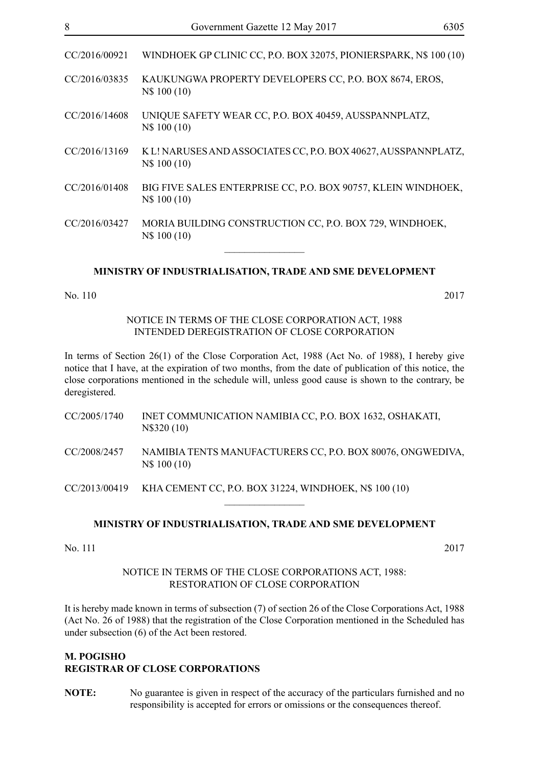| CC/2016/00921 | WINDHOEK GP CLINIC CC, P.O. BOX 32075, PIONIERSPARK, N\$ 100 (10)              |
|---------------|--------------------------------------------------------------------------------|
| CC/2016/03835 | KAUKUNGWA PROPERTY DEVELOPERS CC, P.O. BOX 8674, EROS,<br>N\$ 100 (10)         |
| CC/2016/14608 | UNIQUE SAFETY WEAR CC, P.O. BOX 40459, AUSSPANNPLATZ,<br>N\$ 100 (10)          |
| CC/2016/13169 | K L! NARUSES AND ASSOCIATES CC, P.O. BOX 40627, AUSSPANNPLATZ,<br>N\$ 100 (10) |
| CC/2016/01408 | BIG FIVE SALES ENTERPRISE CC, P.O. BOX 90757, KLEIN WINDHOEK,<br>N\$ 100 (10)  |
| CC/2016/03427 | MORIA BUILDING CONSTRUCTION CC, P.O. BOX 729, WINDHOEK,<br>N\$ 100 (10)        |
|               |                                                                                |

#### **MINISTRY OF INDUSTRIALISATION, TRADE AND SME DEVELOPMENT**

#### No. 110 2017

NOTICE IN TERMS OF THE CLOSE CORPORATION ACT, 1988 INTENDED DEREGISTRATION OF CLOSE CORPORATION

In terms of Section 26(1) of the Close Corporation Act, 1988 (Act No. of 1988), I hereby give notice that I have, at the expiration of two months, from the date of publication of this notice, the close corporations mentioned in the schedule will, unless good cause is shown to the contrary, be deregistered.

| CC/2005/1740 | INET COMMUNICATION NAMIBIA CC, P.O. BOX 1632, OSHAKATI,<br>N\\$320 (10)     |
|--------------|-----------------------------------------------------------------------------|
| CC/2008/2457 | NAMIBIA TENTS MANUFACTURERS CC, P.O. BOX 80076, ONGWEDIVA,<br>N\\$ 100 (10) |

CC/2013/00419 KHA CEMENT CC, P.O. BOX 31224, WINDHOEK, N\$ 100 (10)

#### **MINISTRY OF INDUSTRIALISATION, TRADE AND SME DEVELOPMENT**

 $\frac{1}{2}$ 

No. 111 2017

#### NOTICE IN TERMS OF THE CLOSE CORPORATIONS ACT, 1988: RESTORATION OF CLOSE CORPORATION

It is hereby made known in terms of subsection (7) of section 26 of the Close Corporations Act, 1988 (Act No. 26 of 1988) that the registration of the Close Corporation mentioned in the Scheduled has under subsection (6) of the Act been restored.

### **M. POGISHO REGISTRAR OF CLOSE CORPORATIONS**

**NOTE:** No guarantee is given in respect of the accuracy of the particulars furnished and no responsibility is accepted for errors or omissions or the consequences thereof.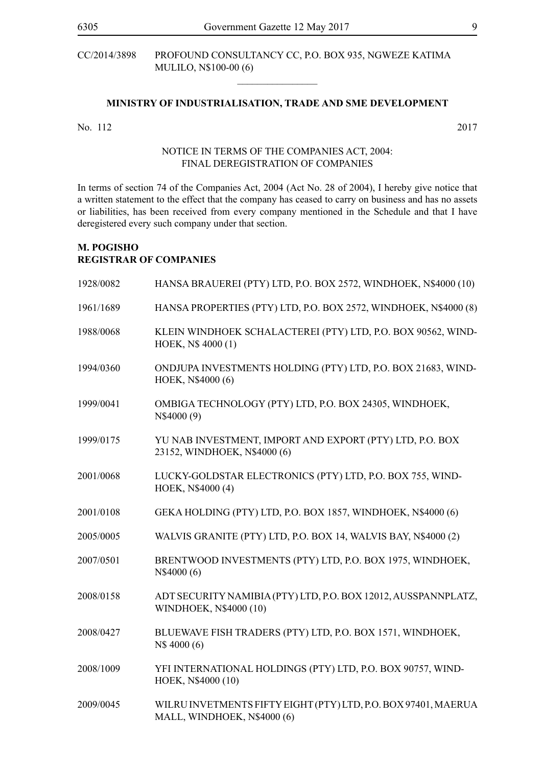CC/2014/3898 PROFOUND CONSULTANCY CC, P.O. BOX 935, NGWEZE KATIMA MULILO, N\$100-00 (6)

# **MINISTRY OF INDUSTRIALISATION, TRADE AND SME DEVELOPMENT**

 $\overline{\phantom{a}}$  , where  $\overline{\phantom{a}}$ 

No. 112 2017

#### NOTICE IN TERMS OF THE COMPANIES ACT, 2004: FINAL DEREGISTRATION OF COMPANIES

In terms of section 74 of the Companies Act, 2004 (Act No. 28 of 2004), I hereby give notice that a written statement to the effect that the company has ceased to carry on business and has no assets or liabilities, has been received from every company mentioned in the Schedule and that I have deregistered every such company under that section.

# **M. POGISHO REGISTRAR OF COMPANIES**

| 1928/0082 | HANSA BRAUEREI (PTY) LTD, P.O. BOX 2572, WINDHOEK, N\$4000 (10)                               |
|-----------|-----------------------------------------------------------------------------------------------|
| 1961/1689 | HANSA PROPERTIES (PTY) LTD, P.O. BOX 2572, WINDHOEK, N\$4000 (8)                              |
| 1988/0068 | KLEIN WINDHOEK SCHALACTEREI (PTY) LTD, P.O. BOX 90562, WIND-<br>HOEK, N\$4000(1)              |
| 1994/0360 | ONDJUPA INVESTMENTS HOLDING (PTY) LTD, P.O. BOX 21683, WIND-<br>HOEK, N\$4000 (6)             |
| 1999/0041 | OMBIGA TECHNOLOGY (PTY) LTD, P.O. BOX 24305, WINDHOEK,<br>N\$4000 (9)                         |
| 1999/0175 | YU NAB INVESTMENT, IMPORT AND EXPORT (PTY) LTD, P.O. BOX<br>23152, WINDHOEK, N\$4000 (6)      |
| 2001/0068 | LUCKY-GOLDSTAR ELECTRONICS (PTY) LTD, P.O. BOX 755, WIND-<br>HOEK, N\$4000 (4)                |
| 2001/0108 | GEKA HOLDING (PTY) LTD, P.O. BOX 1857, WINDHOEK, N\$4000 (6)                                  |
| 2005/0005 | WALVIS GRANITE (PTY) LTD, P.O. BOX 14, WALVIS BAY, N\$4000 (2)                                |
| 2007/0501 | BRENTWOOD INVESTMENTS (PTY) LTD, P.O. BOX 1975, WINDHOEK,<br>N\$4000 (6)                      |
| 2008/0158 | ADT SECURITY NAMIBIA (PTY) LTD, P.O. BOX 12012, AUSSPANNPLATZ,<br>WINDHOEK, N\$4000 (10)      |
| 2008/0427 | BLUEWAVE FISH TRADERS (PTY) LTD, P.O. BOX 1571, WINDHOEK,<br>N\$4000 (6)                      |
| 2008/1009 | YFI INTERNATIONAL HOLDINGS (PTY) LTD, P.O. BOX 90757, WIND-<br>HOEK, N\$4000 (10)             |
| 2009/0045 | WILRU INVETMENTS FIFTY EIGHT (PTY) LTD, P.O. BOX 97401, MAERUA<br>MALL, WINDHOEK, N\$4000 (6) |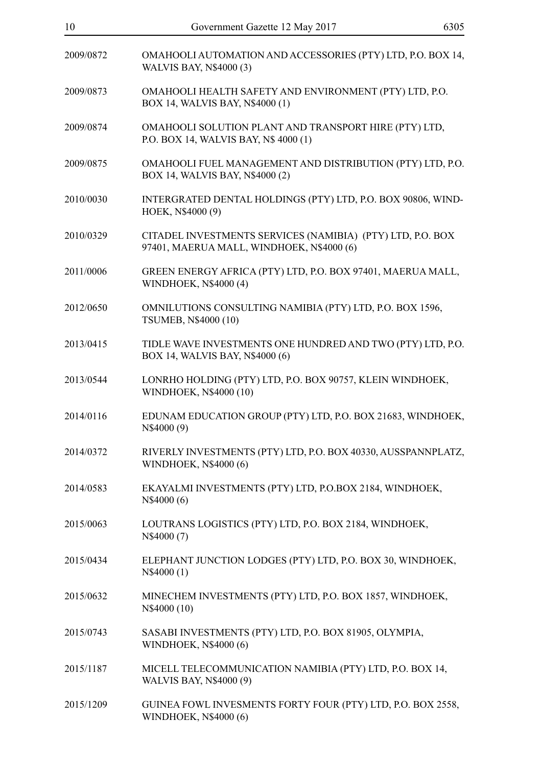| 10        | Government Gazette 12 May 2017                                                                          | 6305 |
|-----------|---------------------------------------------------------------------------------------------------------|------|
| 2009/0872 | OMAHOOLI AUTOMATION AND ACCESSORIES (PTY) LTD, P.O. BOX 14,<br><b>WALVIS BAY, N\$4000 (3)</b>           |      |
| 2009/0873 | OMAHOOLI HEALTH SAFETY AND ENVIRONMENT (PTY) LTD, P.O.<br>BOX 14, WALVIS BAY, N\$4000 (1)               |      |
| 2009/0874 | OMAHOOLI SOLUTION PLANT AND TRANSPORT HIRE (PTY) LTD,<br>P.O. BOX 14, WALVIS BAY, N\$ 4000 (1)          |      |
| 2009/0875 | OMAHOOLI FUEL MANAGEMENT AND DISTRIBUTION (PTY) LTD, P.O.<br>BOX 14, WALVIS BAY, N\$4000 (2)            |      |
| 2010/0030 | INTERGRATED DENTAL HOLDINGS (PTY) LTD, P.O. BOX 90806, WIND-<br>HOEK, N\$4000 (9)                       |      |
| 2010/0329 | CITADEL INVESTMENTS SERVICES (NAMIBIA) (PTY) LTD, P.O. BOX<br>97401, MAERUA MALL, WINDHOEK, N\$4000 (6) |      |
| 2011/0006 | GREEN ENERGY AFRICA (PTY) LTD, P.O. BOX 97401, MAERUA MALL,<br>WINDHOEK, N\$4000 (4)                    |      |
| 2012/0650 | OMNILUTIONS CONSULTING NAMIBIA (PTY) LTD, P.O. BOX 1596,<br>TSUMEB, N\$4000 (10)                        |      |
| 2013/0415 | TIDLE WAVE INVESTMENTS ONE HUNDRED AND TWO (PTY) LTD, P.O.<br>BOX 14, WALVIS BAY, N\$4000 (6)           |      |
| 2013/0544 | LONRHO HOLDING (PTY) LTD, P.O. BOX 90757, KLEIN WINDHOEK,<br>WINDHOEK, N\$4000 (10)                     |      |
| 2014/0116 | EDUNAM EDUCATION GROUP (PTY) LTD, P.O. BOX 21683, WINDHOEK,<br>N\$4000 (9)                              |      |
| 2014/0372 | RIVERLY INVESTMENTS (PTY) LTD, P.O. BOX 40330, AUSSPANNPLATZ,<br>WINDHOEK, N\$4000 (6)                  |      |
| 2014/0583 | EKAYALMI INVESTMENTS (PTY) LTD, P.O.BOX 2184, WINDHOEK,<br>N\$4000 (6)                                  |      |
| 2015/0063 | LOUTRANS LOGISTICS (PTY) LTD, P.O. BOX 2184, WINDHOEK,<br>N\$4000 (7)                                   |      |
| 2015/0434 | ELEPHANT JUNCTION LODGES (PTY) LTD, P.O. BOX 30, WINDHOEK,<br>N\$4000 (1)                               |      |
| 2015/0632 | MINECHEM INVESTMENTS (PTY) LTD, P.O. BOX 1857, WINDHOEK,<br>N\$4000 (10)                                |      |
| 2015/0743 | SASABI INVESTMENTS (PTY) LTD, P.O. BOX 81905, OLYMPIA,<br>WINDHOEK, N\$4000 (6)                         |      |
| 2015/1187 | MICELL TELECOMMUNICATION NAMIBIA (PTY) LTD, P.O. BOX 14,<br>WALVIS BAY, N\$4000 (9)                     |      |
| 2015/1209 | GUINEA FOWL INVESMENTS FORTY FOUR (PTY) LTD, P.O. BOX 2558,<br><b>WINDHOEK, N\$4000 (6)</b>             |      |